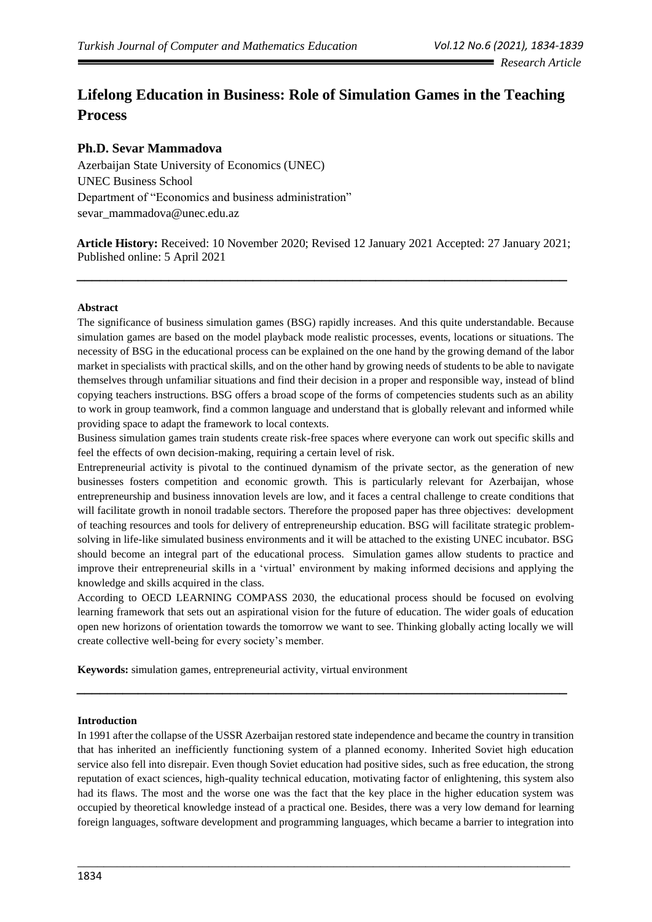# **Lifelong Education in Business: Role of Simulation Games in the Teaching Process**

## **Ph.D. Sevar Mammadova**

Azerbaijan State University of Economics (UNEC) UNEC Business School Department of "Economics and business administration" sevar\_mammadova@unec.edu.az

**Article History:** Received: 10 November 2020; Revised 12 January 2021 Accepted: 27 January 2021; Published online: 5 April 2021

**\_\_\_\_\_\_\_\_\_\_\_\_\_\_\_\_\_\_\_\_\_\_\_\_\_\_\_\_\_\_\_\_\_\_\_\_\_\_\_\_\_\_\_\_\_\_\_\_\_\_\_\_\_\_\_\_\_\_\_\_\_\_\_\_**

#### **Abstract**

The significance of business simulation games (BSG) rapidly increases. And this quite understandable. Because simulation games are based on the model playback mode realistic processes, events, locations or situations. The necessity of BSG in the educational process can be explained on the one hand by the growing demand of the labor market in specialists with practical skills, and on the other hand by growing needs of students to be able to navigate themselves through unfamiliar situations and find their decision in a proper and responsible way, instead of blind copying teachers instructions. BSG offers a broad scope of the forms of competencies students such as an ability to work in group teamwork, find a common language and understand that is globally relevant and informed while providing space to adapt the framework to local contexts.

Business simulation games train students create risk-free spaces where everyone can work out specific skills and feel the effects of own decision-making, requiring a certain level of risk.

Entrepreneurial activity is pivotal to the continued dynamism of the private sector, as the generation of new businesses fosters competition and economic growth. This is particularly relevant for Azerbaijan, whose entrepreneurship and business innovation levels are low, and it faces a central challenge to create conditions that will facilitate growth in nonoil tradable sectors. Therefore the proposed paper has three objectives: development of teaching resources and tools for delivery of entrepreneurship education. BSG will facilitate strategic problemsolving in life-like simulated business environments and it will be attached to the existing UNEC incubator. BSG should become an integral part of the educational process. Simulation games allow students to practice and improve their entrepreneurial skills in a 'virtual' environment by making informed decisions and applying the knowledge and skills acquired in the class.

According to OECD LEARNING COMPASS 2030, the educational process should be focused on evolving learning framework that sets out an aspirational vision for the future of education. The wider goals of education open new horizons of orientation towards the tomorrow we want to see. Thinking globally acting locally we will create collective well-being for every society's member.

**\_\_\_\_\_\_\_\_\_\_\_\_\_\_\_\_\_\_\_\_\_\_\_\_\_\_\_\_\_\_\_\_\_\_\_\_\_\_\_\_\_\_\_\_\_\_\_\_\_\_\_\_\_\_\_\_\_\_\_\_\_\_\_\_**

**Keywords:** simulation games, entrepreneurial activity, virtual environment

#### **Introduction**

In 1991 after the collapse of the USSR Azerbaijan restored state independence and became the country in transition that has inherited an inefficiently functioning system of a planned economy. Inherited Soviet high education service also fell into disrepair. Even though Soviet education had positive sides, such as free education, the strong reputation of exact sciences, high-quality technical education, motivating factor of enlightening, this system also had its flaws. The most and the worse one was the fact that the key place in the higher education system was occupied by theoretical knowledge instead of a practical one. Besides, there was a very low demand for learning foreign languages, software development and programming languages, which became a barrier to integration into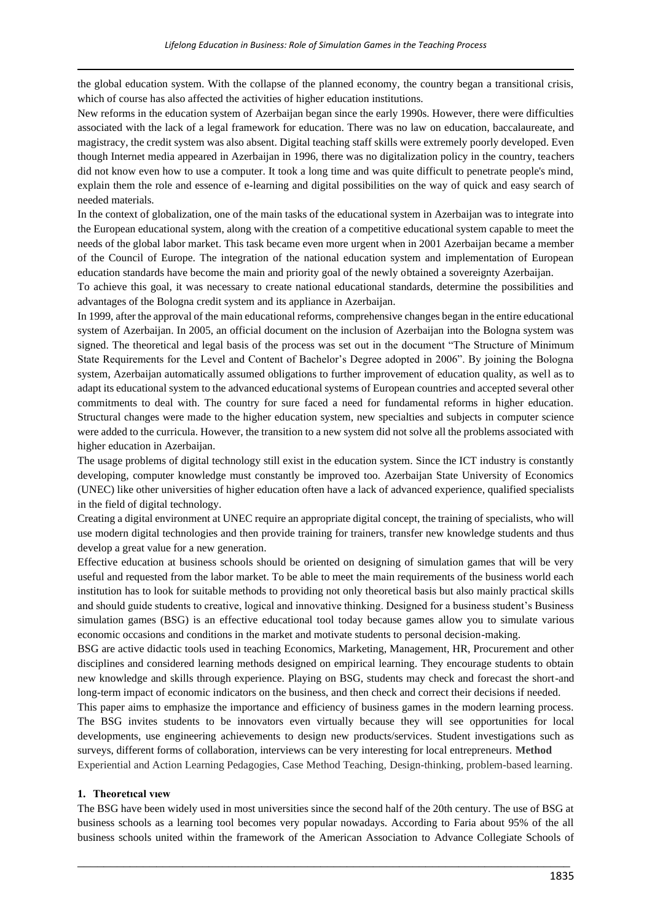the global education system. With the collapse of the planned economy, the country began a transitional crisis, which of course has also affected the activities of higher education institutions.

New reforms in the education system of Azerbaijan began since the early 1990s. However, there were difficulties associated with the lack of a legal framework for education. There was no law on education, baccalaureate, and magistracy, the credit system was also absent. Digital teaching staff skills were extremely poorly developed. Even though Internet media appeared in Azerbaijan in 1996, there was no digitalization policy in the country, teachers did not know even how to use a computer. It took a long time and was quite difficult to penetrate people's mind, explain them the role and essence of e-learning and digital possibilities on the way of quick and easy search of needed materials.

In the context of globalization, one of the main tasks of the educational system in Azerbaijan was to integrate into the European educational system, along with the creation of a competitive educational system capable to meet the needs of the global labor market. This task became even more urgent when in 2001 Azerbaijan became a member of the Council of Europe. The integration of the national education system and implementation of European education standards have become the main and priority goal of the newly obtained a sovereignty Azerbaijan.

To achieve this goal, it was necessary to create national educational standards, determine the possibilities and advantages of the Bologna credit system and its appliance in Azerbaijan.

In 1999, after the approval of the main educational reforms, comprehensive changes began in the entire educational system of Azerbaijan. In 2005, an official document on the inclusion of Azerbaijan into the Bologna system was signed. The theoretical and legal basis of the process was set out in the document "The Structure of Minimum State Requirements for the Level and Content of Bachelor's Degree adopted in 2006". By joining the Bologna system, Azerbaijan automatically assumed obligations to further improvement of education quality, as well as to adapt its educational system to the advanced educational systems of European countries and accepted several other commitments to deal with. The country for sure faced a need for fundamental reforms in higher education. Structural changes were made to the higher education system, new specialties and subjects in computer science were added to the curricula. However, the transition to a new system did not solve all the problems associated with higher education in Azerbaijan.

The usage problems of digital technology still exist in the education system. Since the ICT industry is constantly developing, computer knowledge must constantly be improved too. Azerbaijan State University of Economics (UNEC) like other universities of higher education often have a lack of advanced experience, qualified specialists in the field of digital technology.

Creating a digital environment at UNEC require an appropriate digital concept, the training of specialists, who will use modern digital technologies and then provide training for trainers, transfer new knowledge students and thus develop a great value for a new generation.

Effective education at business schools should be oriented on designing of simulation games that will be very useful and requested from the labor market. To be able to meet the main requirements of the business world each institution has to look for suitable methods to providing not only theoretical basis but also mainly practical skills and should guide students to creative, logical and innovative thinking. Designed for a business student's Business simulation games (BSG) is an effective educational tool today because games allow you to simulate various economic occasions and conditions in the market and motivate students to personal decision-making.

BSG are active didactic tools used in teaching Economics, Marketing, Management, HR, Procurement and other disciplines and considered learning methods designed on empirical learning. They encourage students to obtain new knowledge and skills through experience. Playing on BSG, students may check and forecast the short-and long-term impact of economic indicators on the business, and then check and correct their decisions if needed.

This paper aims to emphasize the importance and efficiency of business games in the modern learning process. The BSG invites students to be innovators even virtually because they will see opportunities for local developments, use engineering achievements to design new products/services. Student investigations such as surveys, different forms of collaboration, interviews can be very interesting for local entrepreneurs. **Method**

Experiential and Action Learning Pedagogies, Case Method Teaching, Design-thinking, problem-based learning.

#### **1. Theoretıcal vıew**

The BSG have been widely used in most universities since the second half of the 20th century. The use of BSG at business schools as a learning tool becomes very popular nowadays. According to Faria about 95% of the all business schools united within the framework of the American Association to Advance Collegiate Schools of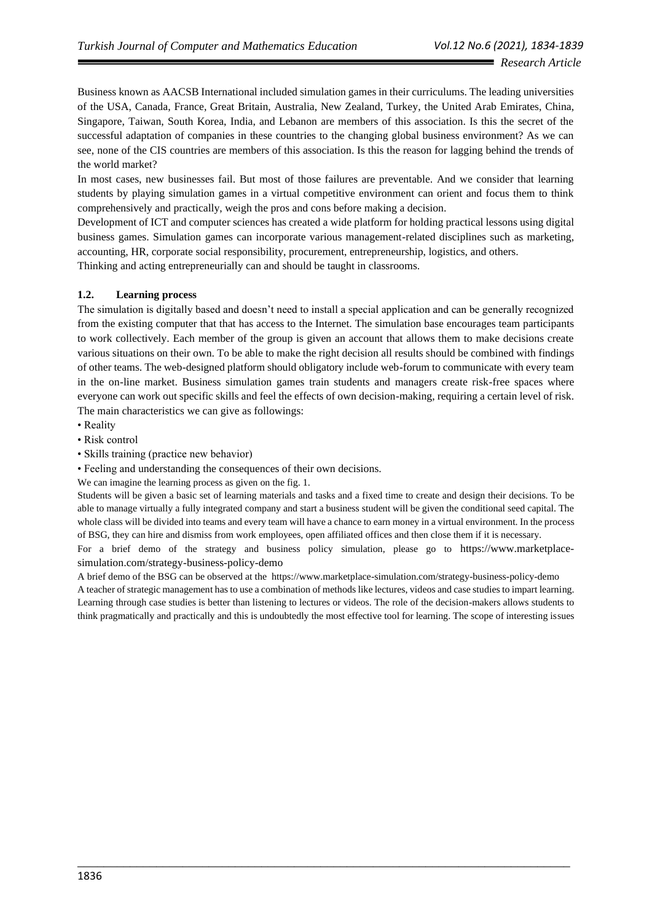Business known as AACSB International included simulation games in their curriculums. The leading universities of the USA, Canada, France, Great Britain, Australia, New Zealand, Turkey, the United Arab Emirates, China, Singapore, Taiwan, South Korea, India, and Lebanon are members of this association. Is this the secret of the successful adaptation of companies in these countries to the changing global business environment? As we can see, none of the CIS countries are members of this association. Is this the reason for lagging behind the trends of the world market?

In most cases, new businesses fail. But most of those failures are preventable. And we consider that learning students by playing simulation games in a virtual competitive environment can orient and focus them to think comprehensively and practically, weigh the pros and cons before making a decision.

Development of ICT and computer sciences has created a wide platform for holding practical lessons using digital business games. Simulation games can incorporate various management-related disciplines such as marketing, accounting, HR, corporate social responsibility, procurement, entrepreneurship, logistics, and others. Thinking and acting entrepreneurially can and should be taught in classrooms.

#### **1.2. Learning process**

The simulation is digitally based and doesn't need to install a special application and can be generally recognized from the existing computer that that has access to the Internet. The simulation base encourages team participants to work collectively. Each member of the group is given an account that allows them to make decisions create various situations on their own. To be able to make the right decision all results should be combined with findings of other teams. The web-designed platform should obligatory include web-forum to communicate with every team in the on-line market. Business simulation games train students and managers create risk-free spaces where everyone can work out specific skills and feel the effects of own decision-making, requiring a certain level of risk. The main characteristics we can give as followings:

- Reality
- Risk control
- Skills training (practice new behavior)
- Feeling and understanding the consequences of their own decisions.
- We can imagine the learning process as given on the fig. 1.

Students will be given a basic set of learning materials and tasks and a fixed time to create and design their decisions. To be able to manage virtually a fully integrated company and start a business student will be given the conditional seed capital. The whole class will be divided into teams and every team will have a chance to earn money in a virtual environment. In the process of BSG, they can hire and dismiss from work employees, open affiliated offices and then close them if it is necessary.

For a brief demo of the strategy and business policy simulation, please go to https://www.marketplacesimulation.com/strategy-business-policy-demo

A brief demo of the BSG can be observed at the https://www.marketplace-simulation.com/strategy-business-policy-demo A teacher of strategic management has to use a combination of methods like lectures, videos and case studies to impart learning. Learning through case studies is better than listening to lectures or videos. The role of the decision-makers allows students to think pragmatically and practically and this is undoubtedly the most effective tool for learning. The scope of interesting issues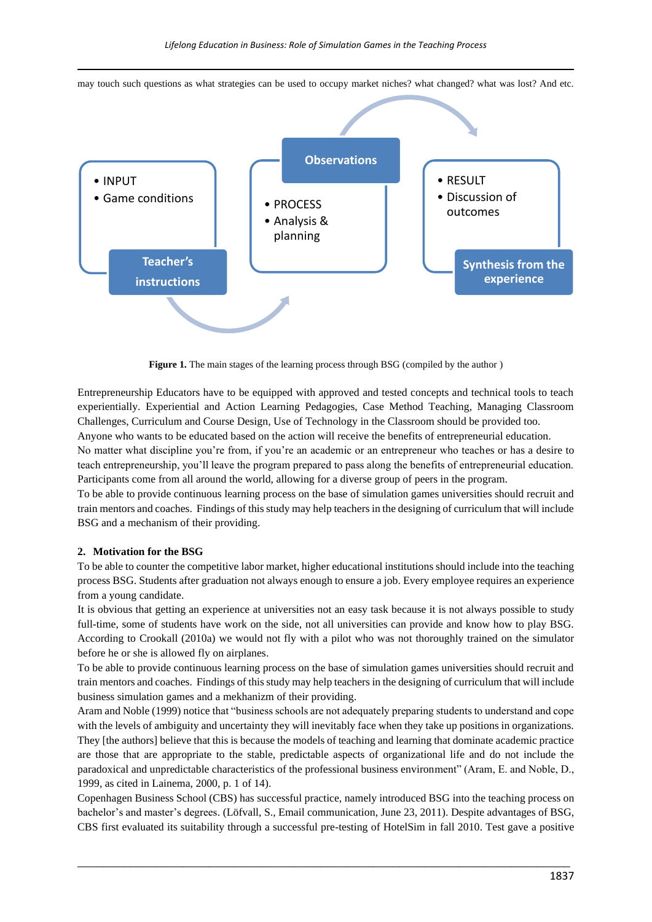may touch such questions as what strategies can be used to occupy market niches? what changed? what was lost? And etc.



Figure 1. The main stages of the learning process through BSG (compiled by the author)

Entrepreneurship Educators have to be equipped with approved and tested concepts and technical tools to teach experientially. Experiential and Action Learning Pedagogies, Case Method Teaching, Managing Classroom Challenges, Curriculum and Course Design, Use of Technology in the Classroom should be provided too.

Anyone who wants to be educated based on the action will receive the benefits of entrepreneurial education.

No matter what discipline you're from, if you're an academic or an entrepreneur who teaches or has a desire to teach entrepreneurship, you'll leave the program prepared to pass along the benefits of entrepreneurial education. Participants come from all around the world, allowing for a diverse group of peers in the program.

To be able to provide continuous learning process on the base of simulation games universities should recruit and train mentors and coaches. Findings of this study may help teachers in the designing of curriculum that will include BSG and a mechanism of their providing.

#### **2. Motivation for the BSG**

To be able to сounter the competitive labor market, higher educational institutions should include into the teaching process BSG. Students after graduation not always enough to ensure a job. Every employee requires an experience from a young candidate.

It is obvious that getting an experience at universities not an easy task because it is not always possible to study full-time, some of students have work on the side, not all universities can provide and know how to play BSG. According to Crookall (2010a) we would not fly with a pilot who was not thoroughly trained on the simulator before he or she is allowed fly on airplanes.

To be able to provide continuous learning process on the base of simulation games universities should recruit and train mentors and coaches. Findings of this study may help teachers in the designing of curriculum that will include business simulation games and a mekhanizm of their providing.

Aram and Noble (1999) notice that "business schools are not adequately preparing students to understand and cope with the levels of ambiguity and uncertainty they will inevitably face when they take up positions in organizations. They [the authors] believe that this is because the models of teaching and learning that dominate academic practice are those that are appropriate to the stable, predictable aspects of organizational life and do not include the paradoxical and unpredictable characteristics of the professional business environment" (Aram, E. and Noble, D., 1999, as cited in Lainema, 2000, p. 1 of 14).

Copenhagen Business School (CBS) has successful practice, namely introduced BSG into the teaching process on bachelor's and master's degrees. (Löfvall, S., Email communication, June 23, 2011). Despite advantages of BSG, CBS first evaluated its suitability through a successful pre-testing of HotelSim in fall 2010. Test gave a positive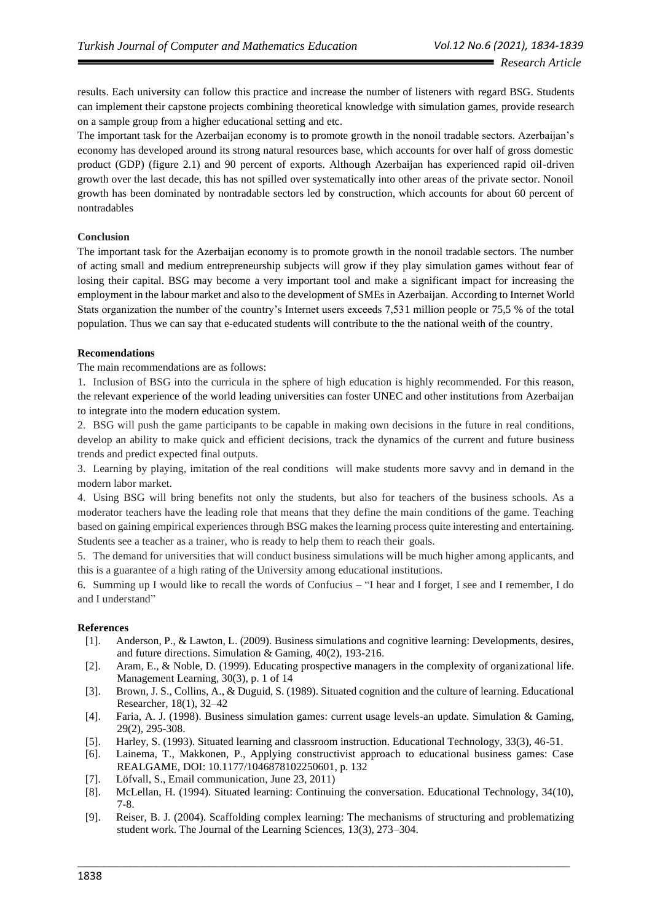results. Each university can follow this practice and increase the number of listeners with regard BSG. Students can implement their capstone projects combining theoretical knowledge with simulation games, provide research on a sample group from a higher educational setting and etc.

The important task for the Azerbaijan economy is to promote growth in the nonoil tradable sectors. Azerbaijan's economy has developed around its strong natural resources base, which accounts for over half of gross domestic product (GDP) (figure 2.1) and 90 percent of exports. Although Azerbaijan has experienced rapid oil-driven growth over the last decade, this has not spilled over systematically into other areas of the private sector. Nonoil growth has been dominated by nontradable sectors led by construction, which accounts for about 60 percent of nontradables

## **Conclusion**

The important task for the Azerbaijan economy is to promote growth in the nonoil tradable sectors. The number of acting small and medium entrepreneurship subjects will grow if they play simulation games without fear of losing their capital. BSG may become a very important tool and make a significant impact for increasing the employment in the labour market and also to the development of SMEs in Azerbaijan. According to Internet World Stats organization the number of the country's Internet users exceeds 7,531 million people or 75,5 % of the total population. Thus we can say that e-educated students will contribute to the the national weith of the country.

## **Recomendations**

The main recommendations are as follows:

1. Inclusion of BSG into the curricula in the sphere of high education is highly recommended. For this reason, the relevant experience of the world leading universities can foster UNEC and other institutions from Azerbaijan to integrate into the modern education system.

2. BSG will push the game participants to be capable in making own decisions in the future in real conditions, develop an ability to make quick and efficient decisions, track the dynamics of the current and future business trends and predict expected final outputs.

3. Learning by playing, imitation of the real conditions will make students more savvy and in demand in the modern labor market.

4. Using BSG will bring benefits not only the students, but also for teachers of the business schools. As a moderator teachers have the leading role that means that they define the main conditions of the game. Teaching based on gaining empirical experiences through BSG makes the learning process quite interesting and entertaining. Students see a teacher as a trainer, who is ready to help them to reach their goals.

5. The demand for universities that will conduct business simulations will be much higher among applicants, and this is a guarantee of a high rating of the University among educational institutions.

6. Summing up I would like to recall the words of Confucius – "I hear and I forget, I see and I remember, I do and I understand"

#### **References**

- [1]. Anderson, P., & Lawton, L. (2009). Business simulations and cognitive learning: Developments, desires, and future directions. Simulation & Gaming, 40(2), 193-216.
- [2]. Aram, E., & Noble, D. (1999). Educating prospective managers in the complexity of organizational life. Management Learning, 30(3), p. 1 of 14
- [3]. Brown, J. S., Collins, A., & Duguid, S. (1989). Situated cognition and the culture of learning. Educational Researcher, 18(1), 32–42
- [4]. Faria, A. J. (1998). Business simulation games: current usage levels-an update. Simulation & Gaming, 29(2), 295-308.
- [5]. Harley, S. (1993). Situated learning and classroom instruction. Educational Technology, 33(3), 46-51.
- [6]. Lainema, T., Makkonen, P., Applying constructivist approach to educational business games: Case REALGAME, DOI: 10.1177/1046878102250601, p. 132
- [7]. Löfvall, S., Email communication, June 23, 2011)
- [8]. McLellan, H. (1994). Situated learning: Continuing the conversation. Educational Technology, 34(10), 7-8.
- [9]. Reiser, B. J. (2004). Scaffolding complex learning: The mechanisms of structuring and problematizing student work. The Journal of the Learning Sciences, 13(3), 273–304.